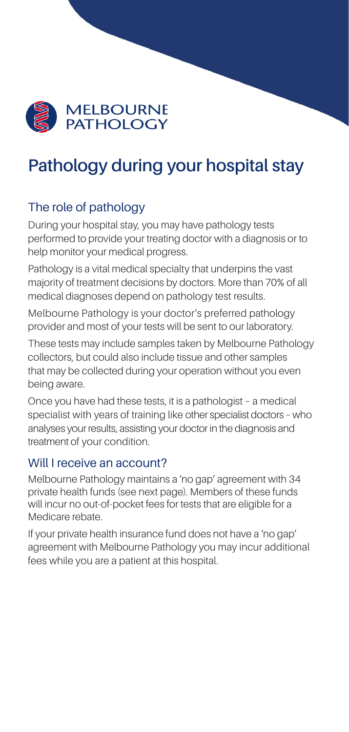

# **Pathology during your hospital stay**

## The role of pathology

During your hospital stay, you may have pathology tests performed to provide your treating doctor with a diagnosis or to help monitor your medical progress.

Pathology is a vital medical specialty that underpins the vast majority of treatment decisions by doctors. More than 70% of all medical diagnoses depend on pathology test results.

Melbourne Pathology is your doctor's preferred pathology provider and most of your tests will be sent to our laboratory.

These tests may include samples taken by Melbourne Pathology collectors, but could also include tissue and other samples that may be collected during your operation without you even being aware.

Once you have had these tests, it is a pathologist – a medical specialist with years of training like other specialist doctors – who analyses your results, assisting your doctor in the diagnosis and treatment of your condition.

## Will I receive an account?

Melbourne Pathology maintains a 'no gap' agreement with 34 private health funds (see next page). Members of these funds will incur no out-of-pocket fees for tests that are eligible for a Medicare rebate.

If your private health insurance fund does not have a 'no gap' agreement with Melbourne Pathology you may incur additional fees while you are a patient at this hospital.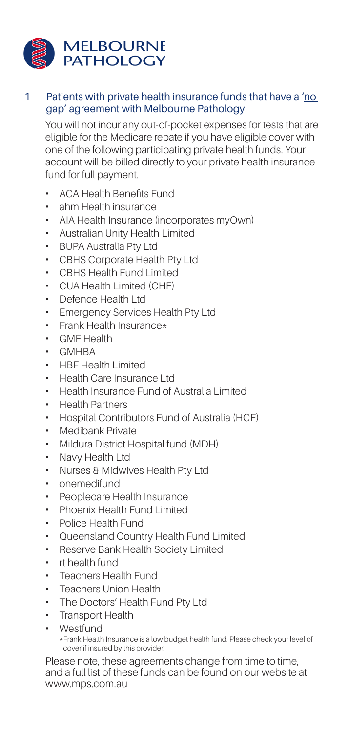

#### 1 Patients with private health insurance funds that have a 'no gap' agreement with Melbourne Pathology

You will not incur any out-of-pocket expenses for tests that are eligible for the Medicare rebate if you have eligible cover with one of the following participating private health funds. Your account will be billed directly to your private health insurance fund for full payment.

- ACA Health Benefits Fund
- ahm Health insurance
- AIA Health Insurance (incorporates myOwn)
- Australian Unity Health Limited
- BUPA Australia Pty Ltd
- CBHS Corporate Health Pty Ltd
- CBHS Health Fund Limited
- CUA Health Limited (CHF)
- Defence Health Ltd
- **Emergency Services Health Pty Ltd**
- $\blacksquare$  Frank Health Insurance\*
- GMF Health
- GMHBA
- HBF Health Limited
- Health Care Insurance Ltd
- Health Insurance Fund of Australia Limited
- Health Partners
- Hospital Contributors Fund of Australia (HCF)
- **Medibank Private**
- Mildura District Hospital fund (MDH)
- Navy Health Ltd
- Nurses & Midwives Health Pty Ltd
- onemedifund
- Peoplecare Health Insurance
- Phoenix Health Fund Limited
- Police Health Fund
- Queensland Country Health Fund Limited
- Reserve Bank Health Society Limited
- rt health fund
- Teachers Health Fund
- Teachers Union Health
- The Doctors' Health Fund Pty Ltd
- Transport Health
- Westfund
	- \*Frank Health Insurance is a low budget health fund. Please check your level of cover if insured by this provider.

Please note, these agreements change from time to time, and a full list of these funds can be found on our website at www.mps.com.au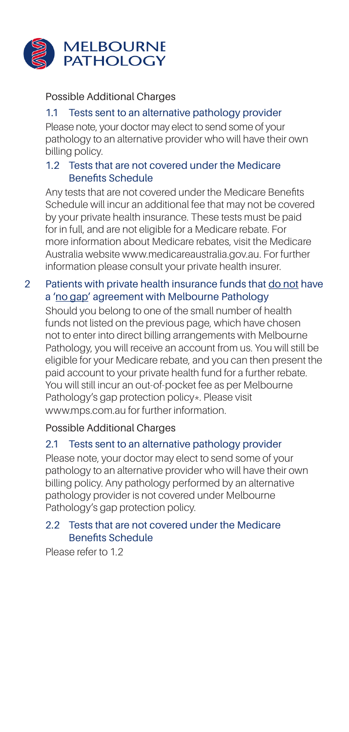

#### Possible Additional Charges

### 1.1 Tests sent to an alternative pathology provider

Please note, your doctor may elect to send some of your pathology to an alternative provider who will have their own billing policy.

#### 1.2 Tests that are not covered under the Medicare Benefits Schedule

Any tests that are not covered under the Medicare Benefits Schedule will incur an additional fee that may not be covered by your private health insurance. These tests must be paid for in full, and are not eligible for a Medicare rebate. For more information about Medicare rebates, visit the Medicare Australia website www.medicareaustralia.gov.au. For further information please consult your private health insurer.

#### 2 Patients with private health insurance funds that do not have a 'no gap' agreement with Melbourne Pathology

Should you belong to one of the small number of health funds not listed on the previous page, which have chosen not to enter into direct billing arrangements with Melbourne Pathology, you will receive an account from us. You will still be eligible for your Medicare rebate, and you can then present the paid account to your private health fund for a further rebate. You will still incur an out-of-pocket fee as per Melbourne Pathology's gap protection policy\*. Please visit www.mps.com.au for further information.

Possible Additional Charges

#### 2.1 Tests sent to an alternative pathology provider

Please note, your doctor may elect to send some of your pathology to an alternative provider who will have their own billing policy. Any pathology performed by an alternative pathology provider is not covered under Melbourne Pathology's gap protection policy.

#### 2.2 Tests that are not covered under the Medicare Benefits Schedule

Please refer to 1.2